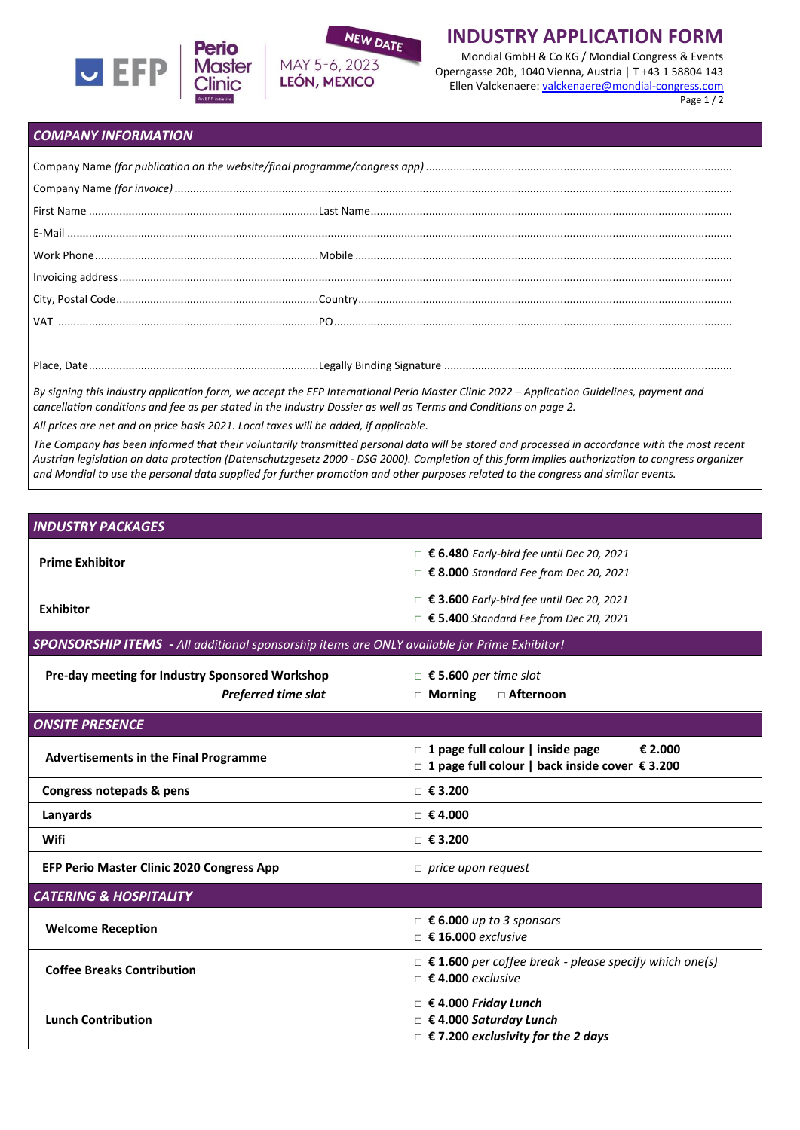





Mondial GmbH & Co KG / Mondial Congress & Events Operngasse 20b, 1040 Vienna, Austria | T +43 1 58804 143 Ellen Valckenaere: [valckenaere@mondial-congress.com](mailto:valckenaere@mondial-congress.com)

## Page 1 / 2

## *COMPANY INFORMATION*

NEW DATE

MAY 5-6, 2023

**LEÓN, MEXICO** 

*By signing this industry application form, we accept the EFP International Perio Master Clinic 2022 – Application Guidelines, payment and cancellation conditions and fee as per stated in the Industry Dossier as well as Terms and Conditions on page 2.* 

*All prices are net and on price basis 2021. Local taxes will be added, if applicable.*

*The Company has been informed that their voluntarily transmitted personal data will be stored and processed in accordance with the most recent Austrian legislation on data protection (Datenschutzgesetz 2000 - DSG 2000). Completion of this form implies authorization to congress organizer and Mondial to use the personal data supplied for further promotion and other purposes related to the congress and similar events.*

| <b>INDUSTRY PACKAGES</b>                                                                     |                                                                                                                      |  |
|----------------------------------------------------------------------------------------------|----------------------------------------------------------------------------------------------------------------------|--|
| <b>Prime Exhibitor</b>                                                                       | □ $\epsilon$ 6.480 Early-bird fee until Dec 20, 2021<br>□ $\epsilon$ 8.000 Standard Fee from Dec 20, 2021            |  |
| Exhibitor                                                                                    | $□$ € 3.600 Early-bird fee until Dec 20, 2021<br>□ € 5.400 Standard Fee from Dec 20, 2021                            |  |
| SPONSORSHIP ITEMS - All additional sponsorship items are ONLY available for Prime Exhibitor! |                                                                                                                      |  |
| Pre-day meeting for Industry Sponsored Workshop<br>Preferred time slot                       | $\Box$ € 5.600 per time slot<br>□ Afternoon<br>$\Box$ Morning                                                        |  |
| <b>ONSITE PRESENCE</b>                                                                       |                                                                                                                      |  |
| <b>Advertisements in the Final Programme</b>                                                 | $\Box$ 1 page full colour   inside page<br>€ 2.000<br>$\Box$ 1 page full colour   back inside cover $\epsilon$ 3.200 |  |
| Congress notepads & pens                                                                     | $\Box$ € 3.200                                                                                                       |  |
| Lanyards                                                                                     | $\Box \in 4.000$                                                                                                     |  |
| Wifi                                                                                         | $\Box$ € 3.200                                                                                                       |  |
| <b>EFP Perio Master Clinic 2020 Congress App</b>                                             | $\Box$ price upon request                                                                                            |  |
| <b>CATERING &amp; HOSPITALITY</b>                                                            |                                                                                                                      |  |
| <b>Welcome Reception</b>                                                                     | $\Box$ € 6.000 up to 3 sponsors<br>$\Box$ € 16.000 exclusive                                                         |  |
| <b>Coffee Breaks Contribution</b>                                                            | $\Box$ € 1.600 per coffee break - please specify which one(s)<br>$\Box$ € 4.000 exclusive                            |  |
| <b>Lunch Contribution</b>                                                                    | □ $€$ 4.000 Friday Lunch<br>$\Box \in 4.000$ Saturday Lunch<br>$\Box$ $\epsilon$ 7.200 exclusivity for the 2 days    |  |